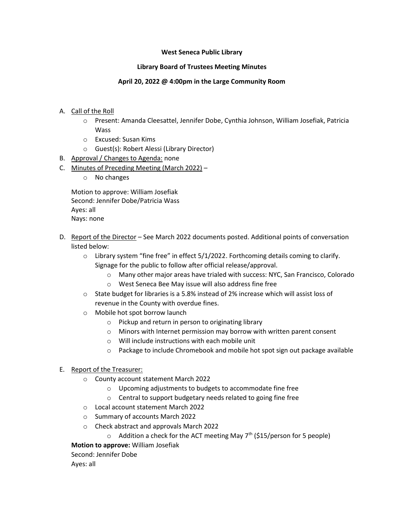# **West Seneca Public Library**

# **Library Board of Trustees Meeting Minutes**

# **April 20, 2022 @ 4:00pm in the Large Community Room**

- A. Call of the Roll
	- o Present: Amanda Cleesattel, Jennifer Dobe, Cynthia Johnson, William Josefiak, Patricia Wass
	- o Excused: Susan Kims
	- o Guest(s): Robert Alessi (Library Director)
- B. Approval / Changes to Agenda: none
- C. Minutes of Preceding Meeting (March 2022)
	- o No changes

Motion to approve: William Josefiak Second: Jennifer Dobe/Patricia Wass Ayes: all Nays: none

- D. Report of the Director See March 2022 documents posted. Additional points of conversation listed below:
	- $\circ$  Library system "fine free" in effect 5/1/2022. Forthcoming details coming to clarify. Signage for the public to follow after official release/approval.
		- o Many other major areas have trialed with success: NYC, San Francisco, Colorado
		- o West Seneca Bee May issue will also address fine free
	- o State budget for libraries is a 5.8% instead of 2% increase which will assist loss of revenue in the County with overdue fines.
	- o Mobile hot spot borrow launch
		- o Pickup and return in person to originating library
		- o Minors with Internet permission may borrow with written parent consent
		- o Will include instructions with each mobile unit
		- $\circ$  Package to include Chromebook and mobile hot spot sign out package available

### E. Report of the Treasurer:

- o County account statement March 2022
	- o Upcoming adjustments to budgets to accommodate fine free
	- o Central to support budgetary needs related to going fine free
- o Local account statement March 2022
- o Summary of accounts March 2022
- o Check abstract and approvals March 2022
	- $\circ$  Addition a check for the ACT meeting May  $7<sup>th</sup>$  (\$15/person for 5 people)

**Motion to approve:** William Josefiak

Second: Jennifer Dobe

Ayes: all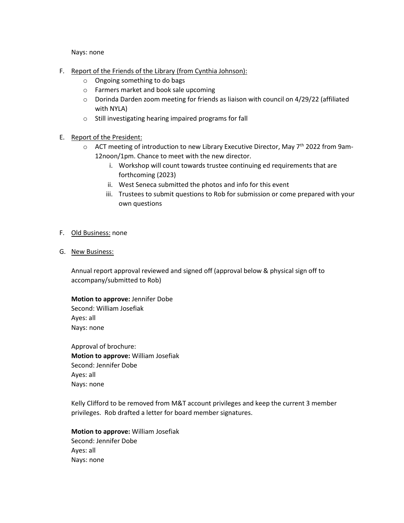Nays: none

- F. Report of the Friends of the Library (from Cynthia Johnson):
	- o Ongoing something to do bags
	- o Farmers market and book sale upcoming
	- $\circ$  Dorinda Darden zoom meeting for friends as liaison with council on 4/29/22 (affiliated with NYLA)
	- o Still investigating hearing impaired programs for fall

# E. Report of the President:

- $\circ$  ACT meeting of introduction to new Library Executive Director, May 7<sup>th</sup> 2022 from 9am-12noon/1pm. Chance to meet with the new director.
	- i. Workshop will count towards trustee continuing ed requirements that are forthcoming (2023)
	- ii. West Seneca submitted the photos and info for this event
	- iii. Trustees to submit questions to Rob for submission or come prepared with your own questions

### F. Old Business: none

G. New Business:

Annual report approval reviewed and signed off (approval below & physical sign off to accompany/submitted to Rob)

**Motion to approve:** Jennifer Dobe Second: William Josefiak Ayes: all Nays: none

Approval of brochure: **Motion to approve:** William Josefiak Second: Jennifer Dobe Ayes: all Nays: none

Kelly Clifford to be removed from M&T account privileges and keep the current 3 member privileges. Rob drafted a letter for board member signatures.

**Motion to approve:** William Josefiak Second: Jennifer Dobe Ayes: all Nays: none